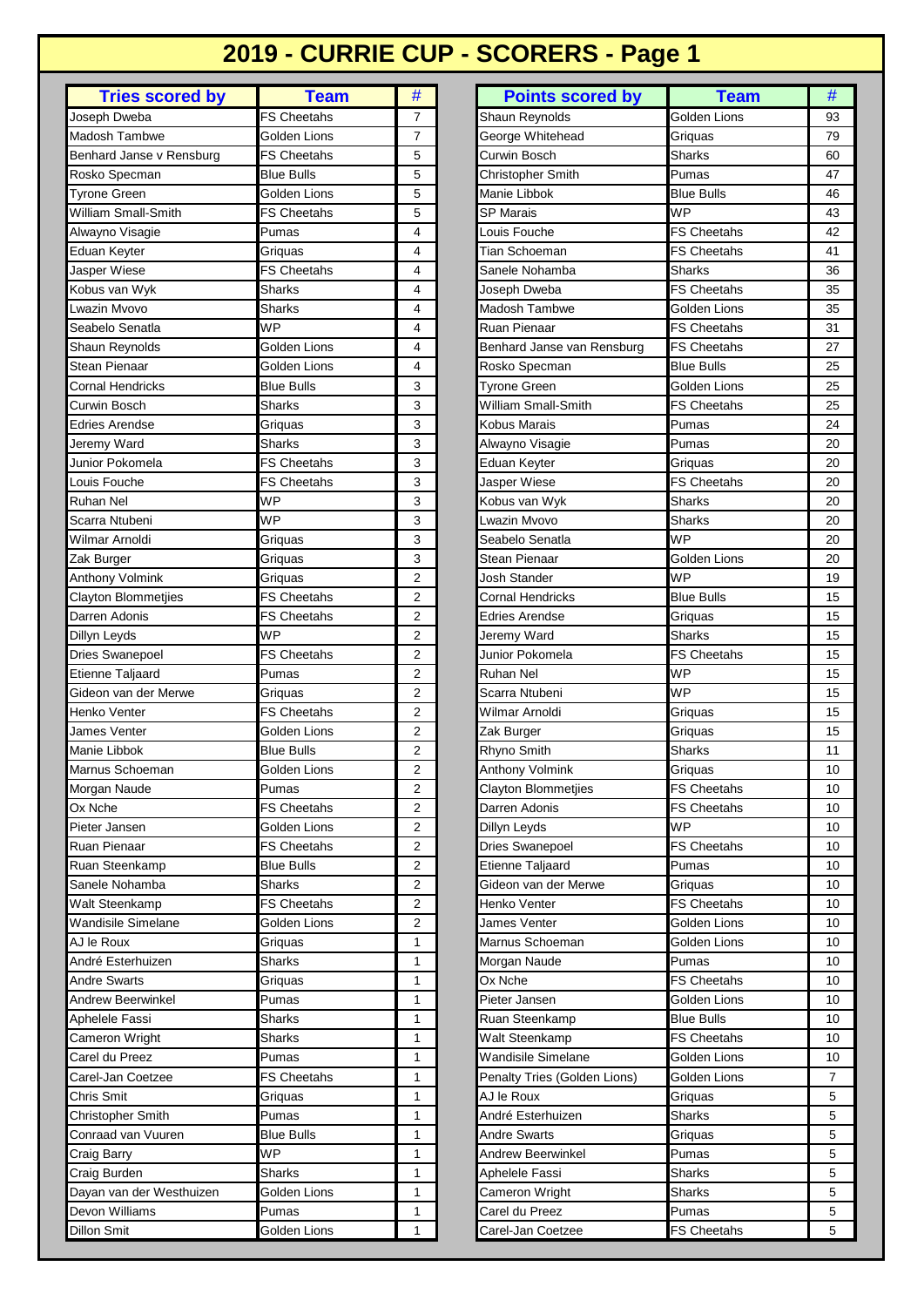# **2019 - CURRIE CUP - SCORERS - Page 1**

| <b>Tries scored by</b><br><b>Team</b><br>#<br><b>Points scored by</b><br><b>FS Cheetahs</b><br>$\overline{7}$<br>Joseph Dweba<br><b>Madosh Tambwe</b><br>Golden Lions<br>$\overline{7}$<br>5<br><b>FS Cheetahs</b><br>Benhard Janse v Rensburg<br>5<br><b>Blue Bulls</b><br>Rosko Specman<br>Golden Lions<br>5<br><b>Tyrone Green</b><br>5<br>William Small-Smith<br><b>FS Cheetahs</b> |
|-----------------------------------------------------------------------------------------------------------------------------------------------------------------------------------------------------------------------------------------------------------------------------------------------------------------------------------------------------------------------------------------|
| <b>Shaun Reynolds</b><br>George Whitehead<br>Curwin Bosch<br>Manie Libbok<br><b>SP Marais</b>                                                                                                                                                                                                                                                                                           |
| Christopher Smith                                                                                                                                                                                                                                                                                                                                                                       |
|                                                                                                                                                                                                                                                                                                                                                                                         |
|                                                                                                                                                                                                                                                                                                                                                                                         |
|                                                                                                                                                                                                                                                                                                                                                                                         |
|                                                                                                                                                                                                                                                                                                                                                                                         |
|                                                                                                                                                                                                                                                                                                                                                                                         |
| Pumas<br>4<br>Louis Fouche<br>Alwayno Visagie                                                                                                                                                                                                                                                                                                                                           |
| 4<br><b>Eduan Keyter</b><br>Tian Schoeman<br>Griquas                                                                                                                                                                                                                                                                                                                                    |
| Jasper Wiese<br><b>FS Cheetahs</b><br>4<br>Sanele Nohamba                                                                                                                                                                                                                                                                                                                               |
| Kobus van Wyk<br>4<br>Sharks<br>Joseph Dweba                                                                                                                                                                                                                                                                                                                                            |
| Lwazin Mvovo<br>Sharks<br>4<br><b>Madosh Tambwe</b>                                                                                                                                                                                                                                                                                                                                     |
| <b>WP</b><br>Ruan Pienaar<br>Seabelo Senatla<br>4                                                                                                                                                                                                                                                                                                                                       |
| Golden Lions<br>Shaun Reynolds<br>4<br>Benhard Janse van Rensburg                                                                                                                                                                                                                                                                                                                       |
| <b>Stean Pienaar</b><br>Golden Lions<br>4<br>Rosko Specman                                                                                                                                                                                                                                                                                                                              |
| <b>Cornal Hendricks</b><br><b>Blue Bulls</b><br>3<br>Tyrone Green                                                                                                                                                                                                                                                                                                                       |
| William Small-Smith<br>3<br>Curwin Bosch<br><b>Sharks</b>                                                                                                                                                                                                                                                                                                                               |
| <b>Edries Arendse</b><br>Griquas<br>3<br>Kobus Marais                                                                                                                                                                                                                                                                                                                                   |
| Jeremy Ward<br>Sharks<br>3<br>Alwayno Visagie                                                                                                                                                                                                                                                                                                                                           |
| 3<br>Junior Pokomela<br><b>FS Cheetahs</b><br>Eduan Keyter                                                                                                                                                                                                                                                                                                                              |
| 3<br>Jasper Wiese<br><b>FS Cheetahs</b><br>Louis Fouche                                                                                                                                                                                                                                                                                                                                 |
| <b>WP</b><br>3<br><b>Ruhan Nel</b>                                                                                                                                                                                                                                                                                                                                                      |
| Kobus van Wyk<br>wazin Myoyo                                                                                                                                                                                                                                                                                                                                                            |
| <b>WP</b><br>3<br>Scarra Ntubeni                                                                                                                                                                                                                                                                                                                                                        |
| Wilmar Arnoldi<br>3<br>Seabelo Senatla<br>Griquas                                                                                                                                                                                                                                                                                                                                       |
| 3<br>Stean Pienaar<br>Zak Burger<br>Griquas                                                                                                                                                                                                                                                                                                                                             |
| $\overline{2}$<br>Anthony Volmink<br>Josh Stander<br>Griquas                                                                                                                                                                                                                                                                                                                            |
| Clayton Blommetjies<br><b>FS Cheetahs</b><br>$\overline{2}$<br>Cornal Hendricks                                                                                                                                                                                                                                                                                                         |
| Darren Adonis<br><b>FS Cheetahs</b><br>$\overline{2}$<br>Edries Arendse                                                                                                                                                                                                                                                                                                                 |
| <b>WP</b><br>$\overline{2}$<br>Jeremy Ward<br>Dillyn Leyds                                                                                                                                                                                                                                                                                                                              |
| Dries Swanepoel<br>$\overline{2}$<br>Junior Pokomela<br>FS Cheetahs                                                                                                                                                                                                                                                                                                                     |
| Pumas<br>Etienne Taljaard<br>$\overline{2}$<br>Ruhan Nel                                                                                                                                                                                                                                                                                                                                |
| $\overline{2}$<br>Gideon van der Merwe<br>Scarra Ntubeni<br>Griguas                                                                                                                                                                                                                                                                                                                     |
| <b>FS Cheetahs</b><br>2<br>Henko Venter<br>Wilmar Arnoldi                                                                                                                                                                                                                                                                                                                               |
| James Venter<br>$\overline{2}$<br>Golden Lions<br>Zak Burger                                                                                                                                                                                                                                                                                                                            |
| Manie Libbok<br><b>Blue Bulls</b><br>2<br>Rhyno Smith                                                                                                                                                                                                                                                                                                                                   |
| Marnus Schoeman<br>2<br>Golden Lions<br><b>Anthony Volmink</b>                                                                                                                                                                                                                                                                                                                          |
| $\overline{2}$<br>Morgan Naude<br><b>Clayton Blommetjies</b><br>Pumas                                                                                                                                                                                                                                                                                                                   |
| $\overline{2}$<br>Ox Nche<br>FS Cheetahs<br>Darren Adonis                                                                                                                                                                                                                                                                                                                               |
| 2<br>Pieter Jansen<br>Golden Lions                                                                                                                                                                                                                                                                                                                                                      |
| Dillyn Leyds<br>2                                                                                                                                                                                                                                                                                                                                                                       |
| <b>Dries Swanepoel</b><br>Ruan Pienaar<br>FS Cheetahs                                                                                                                                                                                                                                                                                                                                   |
| $\overline{2}$<br>Etienne Taljaard<br>Ruan Steenkamp<br>Blue Bulls                                                                                                                                                                                                                                                                                                                      |
| 2<br>Sanele Nohamba<br>Gideon van der Merwe<br>Sharks                                                                                                                                                                                                                                                                                                                                   |
| 2<br>Walt Steenkamp<br><b>FS Cheetahs</b><br>Henko Venter                                                                                                                                                                                                                                                                                                                               |
| $\overline{\mathbf{c}}$<br><b>Wandisile Simelane</b><br>James Venter<br>Golden Lions                                                                                                                                                                                                                                                                                                    |
| Marnus Schoeman<br>AJ le Roux<br>Griquas<br>1                                                                                                                                                                                                                                                                                                                                           |
| André Esterhuizen<br>Sharks<br>Morgan Naude<br>1                                                                                                                                                                                                                                                                                                                                        |
| Andre Swarts<br>Griquas<br>1<br>Ox Nche                                                                                                                                                                                                                                                                                                                                                 |
| <b>Andrew Beerwinkel</b><br>Pieter Jansen<br>Pumas<br>1                                                                                                                                                                                                                                                                                                                                 |
| Aphelele Fassi<br>Ruan Steenkamp<br>Sharks<br>1                                                                                                                                                                                                                                                                                                                                         |
| Cameron Wright<br>1<br>Walt Steenkamp<br>Sharks                                                                                                                                                                                                                                                                                                                                         |
| Carel du Preez<br>Wandisile Simelane<br>Pumas<br>1                                                                                                                                                                                                                                                                                                                                      |
| Carel-Jan Coetzee<br>Penalty Tries (Golden Lions)<br>FS Cheetahs<br>1                                                                                                                                                                                                                                                                                                                   |
|                                                                                                                                                                                                                                                                                                                                                                                         |
| AJ le Roux<br>Chris Smit<br>$\mathbf{1}$<br>Griquas                                                                                                                                                                                                                                                                                                                                     |
| Christopher Smith<br>Pumas<br>1<br>André Esterhuizen                                                                                                                                                                                                                                                                                                                                    |
| Conraad van Vuuren<br>Blue Bulls<br>1<br>Andre Swarts                                                                                                                                                                                                                                                                                                                                   |
| <b>WP</b><br>1<br>Andrew Beerwinkel<br>Craig Barry                                                                                                                                                                                                                                                                                                                                      |
| Craig Burden<br>Sharks<br>1<br>Aphelele Fassi                                                                                                                                                                                                                                                                                                                                           |
|                                                                                                                                                                                                                                                                                                                                                                                         |
| 1<br>Golden Lions<br>Cameron Wright                                                                                                                                                                                                                                                                                                                                                     |
| Dayan van der Westhuizen<br>Devon Williams<br>Carel du Preez<br>Pumas<br>1                                                                                                                                                                                                                                                                                                              |

| <b>Tries scored by</b> | <b>Team</b>        | #              | <b>Points scored by</b>      | <b>Team</b>        | #  |
|------------------------|--------------------|----------------|------------------------------|--------------------|----|
| h Dweba                | <b>FS Cheetahs</b> | 7              | Shaun Reynolds               | Golden Lions       | 93 |
| sh Tambwe              | Golden Lions       | 7              | George Whitehead             | Griguas            | 79 |
| ard Janse v Rensburg   | <b>FS Cheetahs</b> | 5              | Curwin Bosch                 | Sharks             | 60 |
| o Specman              | <b>Blue Bulls</b>  | 5              | Christopher Smith            | Pumas              | 47 |
| ie Green               | Golden Lions       | 5              | Manie Libbok                 | <b>Blue Bulls</b>  | 46 |
| m Small-Smith          | FS Cheetahs        | 5              | SP Marais                    | <b>WP</b>          | 43 |
| no Visagie             | Pumas              | 4              | Louis Fouche                 | <b>FS Cheetahs</b> | 42 |
| n Keyter               | Griquas            | 4              | Tian Schoeman                | <b>FS Cheetahs</b> | 41 |
| er Wiese               | FS Cheetahs        | 4              | Sanele Nohamba               | Sharks             | 36 |
| s van Wyk              | Sharks             | 4              | Joseph Dweba                 | <b>FS Cheetahs</b> | 35 |
| in Mvovo               | Sharks             | 4              | Madosh Tambwe                | Golden Lions       | 35 |
| elo Senatla            | WP                 | 4              | Ruan Pienaar                 | <b>FS Cheetahs</b> | 31 |
| n Reynolds             | Golden Lions       | 4              | Benhard Janse van Rensburg   | <b>FS Cheetahs</b> | 27 |
| ı Pienaar              | Golden Lions       | 4              | Rosko Specman                | <b>Blue Bulls</b>  | 25 |
| al Hendricks           | <b>Blue Bulls</b>  | 3              | <b>Tyrone Green</b>          | Golden Lions       | 25 |
| in Bosch               | Sharks             | 3              | William Small-Smith          | FS Cheetahs        | 25 |
| s Arendse              | Griguas            | 3              | Kobus Marais                 | Pumas              | 24 |
| ny Ward                | Sharks             | 3              | Alwayno Visagie              | Pumas              | 20 |
| r Pokomela             | FS Cheetahs        | 3              | Eduan Keyter                 | Griguas            | 20 |
| Fouche                 | <b>FS Cheetahs</b> | 3              | Jasper Wiese                 | <b>FS Cheetahs</b> | 20 |
| n Nel                  | <b>WP</b>          | 3              | Kobus van Wyk                | Sharks             | 20 |
| a Ntubeni              | <b>WP</b>          | 3              | Lwazin Mvovo                 | <b>Sharks</b>      | 20 |
| ar Arnoldi             | Griquas            | 3              | Seabelo Senatla              | <b>WP</b>          | 20 |
| <b>Surger</b>          | Griquas            | 3              | Stean Pienaar                | Golden Lions       | 20 |
| ny Volmink             | Griquas            | $\overline{2}$ | Josh Stander                 | WP                 | 19 |
| on Blommetjies         | FS Cheetahs        | $\overline{2}$ | <b>Cornal Hendricks</b>      | <b>Blue Bulls</b>  | 15 |
| n Adonis               | FS Cheetahs        | $\overline{2}$ | <b>Edries Arendse</b>        | Griquas            | 15 |
| Leyds                  | WP                 | $\overline{2}$ | Jeremy Ward                  | <b>Sharks</b>      | 15 |
| Swanepoel              | <b>FS Cheetahs</b> | 2              | Junior Pokomela              | <b>FS Cheetahs</b> | 15 |
| ne Taljaard            | Pumas              | $\overline{2}$ | Ruhan Nel                    | <b>WP</b>          | 15 |
| on van der Merwe       | Griquas            | 2              | Scarra Ntubeni               | WP                 | 15 |
| o Venter               | FS Cheetahs        | $\overline{2}$ | Wilmar Arnoldi               | Griguas            | 15 |
| s Venter               | Golden Lions       | $\overline{2}$ | Zak Burger                   | Griquas            | 15 |
| <b>Libbok</b>          | <b>Blue Bulls</b>  | 2              | Rhyno Smith                  | <b>Sharks</b>      | 11 |
| us Schoeman            | Golden Lions       | $\overline{2}$ | <b>Anthony Volmink</b>       | Griquas            | 10 |
| an Naude               | Pumas              | 2              | <b>Clayton Blommetjies</b>   | <b>FS Cheetahs</b> | 10 |
| che                    | <b>FS Cheetahs</b> | 2              | Darren Adonis                | FS Cheetahs        | 10 |
| r Jansen               | Golden Lions       | 2              | Dillyn Leyds                 | <b>WP</b>          | 10 |
| Pienaar                | FS Cheetahs        | 2              | <b>Dries Swanepoel</b>       | <b>FS Cheetahs</b> | 10 |
| Steenkamp              | Blue Bulls         | 2              | <b>Etienne Taljaard</b>      | Pumas              | 10 |
| le Nohamba             | Sharks             | 2              | Gideon van der Merwe         | Griquas            | 10 |
| Steenkamp              | FS Cheetahs        | 2              | Henko Venter                 | FS Cheetahs        | 10 |
| lisile Simelane        | Golden Lions       | $\overline{2}$ | James Venter                 | Golden Lions       | 10 |
| Roux                   | Griquas            | 1              | Marnus Schoeman              | Golden Lions       | 10 |
| Esterhuizen            | Sharks             | 1              | Morgan Naude                 | Pumas              | 10 |
| <b>Swarts</b>          | Griquas            | 1              | Ox Nche                      | <b>FS Cheetahs</b> | 10 |
| ew Beerwinkel          | Pumas              | 1              | Pieter Jansen                | Golden Lions       | 10 |
| lele Fassi             | Sharks             | 1              | Ruan Steenkamp               | <b>Blue Bulls</b>  | 10 |
| eron Wright            | Sharks             | 1              | Walt Steenkamp               | <b>FS Cheetahs</b> | 10 |
| du Preez               | Pumas              | 1              | Wandisile Simelane           | Golden Lions       | 10 |
| -Jan Coetzee           | <b>FS Cheetahs</b> | 1              | Penalty Tries (Golden Lions) | Golden Lions       | 7  |
| Smit                   | Griquas            | $\mathbf{1}$   | AJ le Roux                   | Griguas            | 5  |
| topher Smith           | Pumas              | 1              | André Esterhuizen            | <b>Sharks</b>      | 5  |
| aad van Vuuren         | <b>Blue Bulls</b>  | $\mathbf{1}$   | Andre Swarts                 | Griguas            | 5  |
| Barry                  | <b>WP</b>          | $\mathbf{1}$   | Andrew Beerwinkel            | Pumas              | 5  |
| <b>Burden</b>          | Sharks             | 1              | Aphelele Fassi               | Sharks             | 5  |
| n van der Westhuizen   | Golden Lions       | 1              | Cameron Wright               | <b>Sharks</b>      | 5  |
| n Williams             | Pumas              | 1              | Carel du Preez               | Pumas              | 5  |
| Smit                   | Golden Lions       | $\mathbf{1}$   | Carel-Jan Coetzee            | FS Cheetahs        | 5  |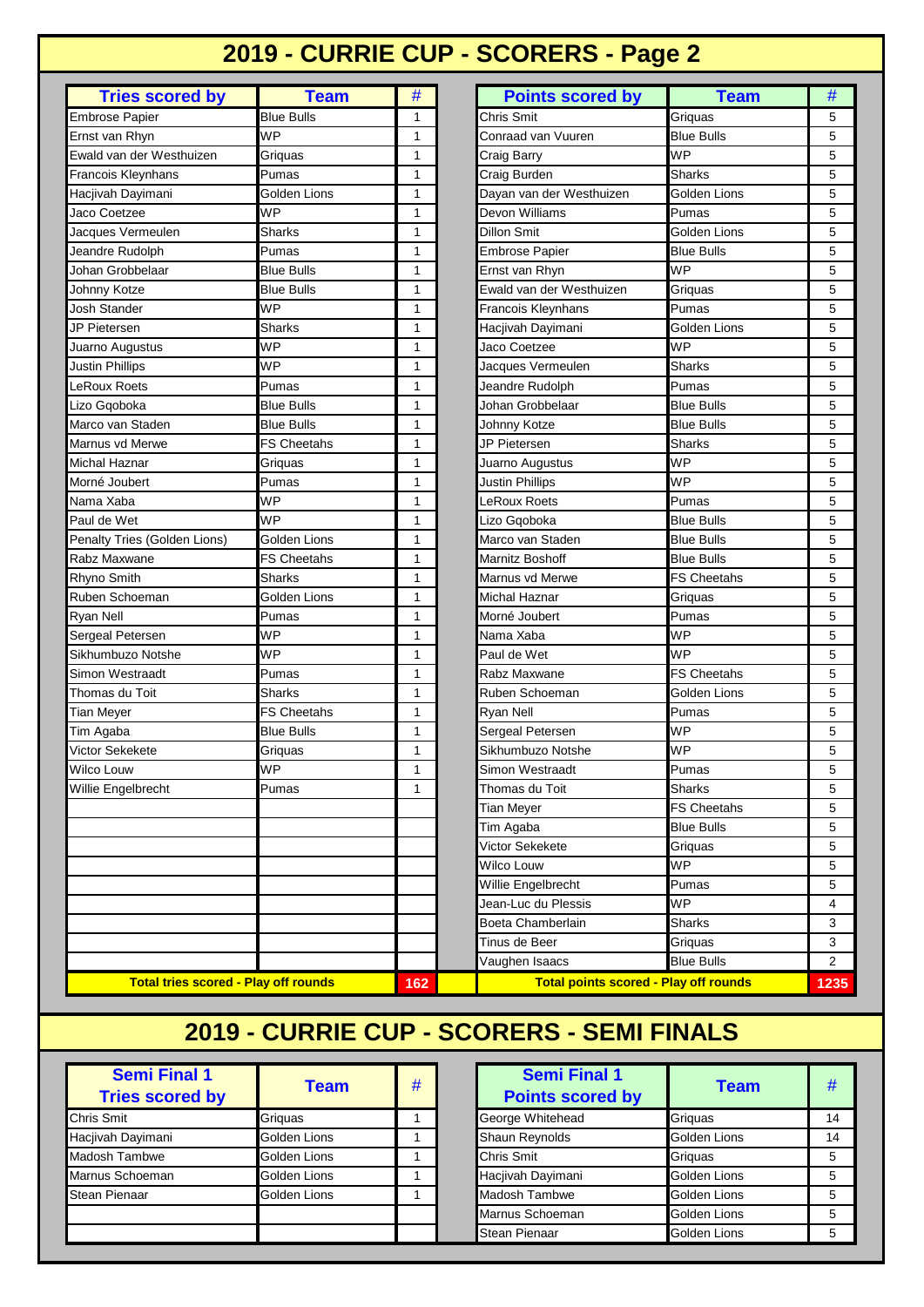### **2019 - CURRIE CUP - SCORERS - Page 2**

| <b>Tries scored by</b>       | <b>Team</b>        | #            | <b>Points scored by</b>  | <b>Team</b>        | # |
|------------------------------|--------------------|--------------|--------------------------|--------------------|---|
| <b>Embrose Papier</b>        | <b>Blue Bulls</b>  | 1            | Chris Smit               | Griquas            | 5 |
| Ernst van Rhyn               | <b>WP</b>          | 1            | Conraad van Vuuren       | <b>Blue Bulls</b>  | 5 |
| Ewald van der Westhuizen     | Griquas            | 1            | Craig Barry              | <b>WP</b>          | 5 |
| <b>Francois Kleynhans</b>    | Pumas              | 1            | Craig Burden             | Sharks             | 5 |
| Hacjivah Dayimani            | Golden Lions       | 1            | Dayan van der Westhuizen | Golden Lions       | 5 |
| Jaco Coetzee                 | <b>WP</b>          | 1            | Devon Williams           | Pumas              | 5 |
| Jacques Vermeulen            | Sharks             | 1            | Dillon Smit              | Golden Lions       | 5 |
| Jeandre Rudolph              | Pumas              | 1            | <b>Embrose Papier</b>    | <b>Blue Bulls</b>  | 5 |
| Johan Grobbelaar             | Blue Bulls         | 1            | Ernst van Rhyn           | <b>WP</b>          | 5 |
| Johnny Kotze                 | <b>Blue Bulls</b>  | 1            | Ewald van der Westhuizen | Griguas            | 5 |
| <b>Josh Stander</b>          | <b>WP</b>          | 1            | Francois Kleynhans       | Pumas              | 5 |
| JP Pietersen                 | Sharks             | 1            | Hacjivah Dayimani        | Golden Lions       | 5 |
| Juarno Augustus              | WP                 | 1            | Jaco Coetzee             | <b>WP</b>          | 5 |
| <b>Justin Phillips</b>       | <b>WP</b>          | 1            | Jacques Vermeulen        | Sharks             | 5 |
| <b>LeRoux Roets</b>          | Pumas              | 1            | Jeandre Rudolph          | Pumas              | 5 |
| Lizo Gqoboka                 | <b>Blue Bulls</b>  | $\mathbf{1}$ | Johan Grobbelaar         | <b>Blue Bulls</b>  | 5 |
| Marco van Staden             | <b>Blue Bulls</b>  | 1            | Johnny Kotze             | <b>Blue Bulls</b>  | 5 |
| Marnus vd Merwe              | <b>FS Cheetahs</b> | 1            | JP Pietersen             | <b>Sharks</b>      | 5 |
| <b>Michal Haznar</b>         | Griquas            | 1            | Juarno Augustus          | <b>WP</b>          | 5 |
| Morné Joubert                | Pumas              | 1            | Justin Phillips          | <b>WP</b>          | 5 |
| Nama Xaba                    | <b>WP</b>          | 1            | LeRoux Roets             | Pumas              | 5 |
| Paul de Wet                  | <b>WP</b>          | 1            | Lizo Gqoboka             | <b>Blue Bulls</b>  | 5 |
| Penalty Tries (Golden Lions) | Golden Lions       | 1            | Marco van Staden         | <b>Blue Bulls</b>  | 5 |
| Rabz Maxwane                 | <b>FS Cheetahs</b> | $\mathbf{1}$ | Marnitz Boshoff          | <b>Blue Bulls</b>  | 5 |
| Rhyno Smith                  | Sharks             | 1            | Marnus vd Merwe          | <b>FS Cheetahs</b> | 5 |
| Ruben Schoeman               | Golden Lions       | 1            | Michal Haznar            | Griquas            | 5 |
| Ryan Nell                    | Pumas              | 1            | Morné Joubert            | Pumas              | 5 |
| Sergeal Petersen             | <b>WP</b>          | 1            | Nama Xaba                | WP                 | 5 |
| Sikhumbuzo Notshe            | WP                 | 1            | Paul de Wet              | WP                 | 5 |
| Simon Westraadt              | Pumas              | 1            | Rabz Maxwane             | <b>FS Cheetahs</b> | 5 |
| Thomas du Toit               | <b>Sharks</b>      | 1            | Ruben Schoeman           | Golden Lions       | 5 |
| <b>Tian Meyer</b>            | <b>FS Cheetahs</b> | 1            | Ryan Nell                | Pumas              | 5 |
| Tim Agaba                    | <b>Blue Bulls</b>  | 1            | Sergeal Petersen         | <b>WP</b>          | 5 |
| Victor Sekekete              | Griquas            | 1            | Sikhumbuzo Notshe        | <b>WP</b>          | 5 |
| Wilco Louw                   | WP                 | 1            | Simon Westraadt          | Pumas              | 5 |
| <b>Willie Engelbrecht</b>    | Pumas              | $\mathbf{1}$ | Thomas du Toit           | Sharks             | 5 |
|                              |                    |              | Tian Meyer               | <b>FS Cheetahs</b> | 5 |
|                              |                    |              | Tim Agaba                | <b>Blue Bulls</b>  | 5 |
|                              |                    |              | Victor Sekekete          | Griquas            | 5 |
|                              |                    |              | Wilco Louw               | <b>WP</b>          | 5 |
|                              |                    |              | Willie Engelbrecht       | Pumas              | 5 |
|                              |                    |              | Jean-Luc du Plessis      | <b>WP</b>          | 4 |
|                              |                    |              | Boeta Chamberlain        | Sharks             | 3 |
|                              |                    |              |                          |                    |   |
|                              |                    |              | Tinus de Beer            | Griquas            | 3 |

**162 1235 Total tries scored - Play off rounds Total points scored - Play off rounds**

| Craig Burden             | Sharks             | 5 |
|--------------------------|--------------------|---|
| Dayan van der Westhuizen | Golden Lions       | 5 |
| Devon Williams           | Pumas              | 5 |
| <b>Dillon Smit</b>       | Golden Lions       | 5 |
| <b>Embrose Papier</b>    | <b>Blue Bulls</b>  | 5 |
| Ernst van Rhyn           | <b>WP</b>          | 5 |
| Ewald van der Westhuizen | Griquas            | 5 |
| Francois Kleynhans       | Pumas              | 5 |
| Hacjivah Dayimani        | Golden Lions       | 5 |
| Jaco Coetzee             | WP                 | 5 |
| Jacques Vermeulen        | Sharks             | 5 |
| Jeandre Rudolph          | Pumas              | 5 |
| Johan Grobbelaar         | <b>Blue Bulls</b>  | 5 |
| Johnny Kotze             | <b>Blue Bulls</b>  | 5 |
| JP Pietersen             | <b>Sharks</b>      | 5 |
| Juarno Augustus          | <b>WP</b>          | 5 |
| <b>Justin Phillips</b>   | WP                 | 5 |
| <b>LeRoux Roets</b>      | Pumas              | 5 |
| Lizo Gqoboka             | <b>Blue Bulls</b>  | 5 |
| Marco van Staden         | <b>Blue Bulls</b>  | 5 |
| Marnitz Boshoff          | <b>Blue Bulls</b>  | 5 |
| Marnus vd Merwe          | <b>FS Cheetahs</b> | 5 |
| Michal Haznar            | Griquas            | 5 |
| Morné Joubert            | Pumas              | 5 |
| Nama Xaba                | <b>WP</b>          | 5 |
| Paul de Wet              | <b>WP</b>          | 5 |
| Rabz Maxwane             | <b>FS Cheetahs</b> | 5 |
| Ruben Schoeman           | Golden Lions       | 5 |
| Ryan Nell                | Pumas              | 5 |
| Sergeal Petersen         | WP                 | 5 |
| Sikhumbuzo Notshe        | WP                 | 5 |
| Simon Westraadt          | Pumas              | 5 |
| Thomas du Toit           | Sharks             | 5 |
| <b>Tian Meyer</b>        | <b>FS Cheetahs</b> | 5 |
| Tim Agaba                | <b>Blue Bulls</b>  | 5 |
| Victor Sekekete          | Griquas            | 5 |
| Wilco Louw               | WP                 | 5 |
| Willie Engelbrecht       | Pumas              | 5 |
| Jean-Luc du Plessis      | WP                 | 4 |
| Boeta Chamberlain        | <b>Sharks</b>      | 3 |
| Tinus de Beer            | Griquas            | 3 |

#### **2019 - CURRIE CUP - SCORERS - SEMI FINALS**

| <b>Semi Final 1</b><br><b>Tries scored by</b> | Team         | # | <b>Semi Final 1</b><br><b>Points scored by</b> | <b>Team</b>  | #  |
|-----------------------------------------------|--------------|---|------------------------------------------------|--------------|----|
| <b>Chris Smit</b>                             | Griguas      |   | George Whitehead                               | Griguas      | 14 |
| Hacjivah Dayimani                             | Golden Lions |   | <b>Shaun Reynolds</b>                          | Golden Lions | 14 |
| Madosh Tambwe                                 | Golden Lions |   | Chris Smit                                     | Griguas      | 5  |
| Marnus Schoeman                               | Golden Lions |   | Hacjivah Dayimani                              | Golden Lions | 5  |
| <b>Stean Pienaar</b>                          | Golden Lions |   | <b>Madosh Tambwe</b>                           | Golden Lions | 5  |
|                                               |              |   | Marnus Schoeman                                | Golden Lions | 5  |
|                                               |              |   | <b>Stean Pienaar</b>                           | Golden Lions | 5  |

| <b>Team</b> | # | <b>Semi Final 1</b><br><b>Points scored by</b> | <b>Team</b>  | #  |
|-------------|---|------------------------------------------------|--------------|----|
|             |   | George Whitehead                               | Griguas      | 14 |
| Lions       |   | Shaun Reynolds                                 | Golden Lions | 14 |
| Lions       |   | Chris Smit                                     | Griguas      | 5  |
| Lions       |   | Hacjivah Dayimani                              | Golden Lions | 5  |
| Lions       |   | Madosh Tambwe                                  | Golden Lions | 5  |
|             |   | Marnus Schoeman                                | Golden Lions | 5  |
|             |   | <b>Stean Pienaar</b>                           | Golden Lions | 5  |